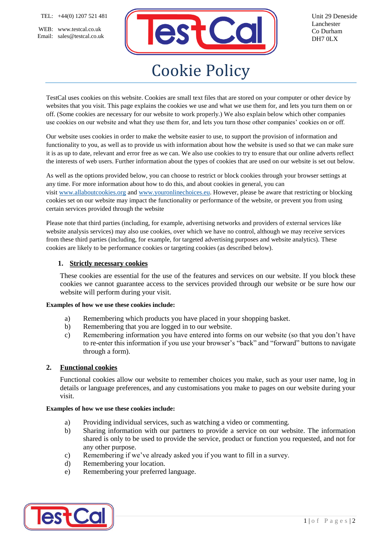WEB: www.testcal.co.uk Email: sales@testcal.co.uk



Unit 29 Deneside Lanchester Co Durham DH7 0LX

# Cookie Policy

TestCal uses cookies on this website. Cookies are small text files that are stored on your computer or other device by websites that you visit. This page explains the cookies we use and what we use them for, and lets you turn them on or off. (Some cookies are necessary for our website to work properly.) We also explain below which other companies use cookies on our website and what they use them for, and lets you turn those other companies' cookies on or off.

Our website uses cookies in order to make the website easier to use, to support the provision of information and functionality to you, as well as to provide us with information about how the website is used so that we can make sure it is as up to date, relevant and error free as we can. We also use cookies to try to ensure that our online adverts reflect the interests of web users. Further information about the types of cookies that are used on our website is set out below.

As well as the options provided below, you can choose to restrict or block cookies through your browser settings at any time. For more information about how to do this, and about cookies in general, you can visit [www.allaboutcookies.org](https://www.allaboutcookies.org/) and [www.youronlinechoices.eu.](https://www.youronlinechoices.eu/) However, please be aware that restricting or blocking cookies set on our website may impact the functionality or performance of the website, or prevent you from using certain services provided through the website

Please note that third parties (including, for example, advertising networks and providers of external services like website analysis services) may also use cookies, over which we have no control, although we may receive services from these third parties (including, for example, for targeted advertising purposes and website analytics). These cookies are likely to be performance cookies or targeting cookies (as described below).

## **1. Strictly necessary cookies**

These cookies are essential for the use of the features and services on our website. If you block these cookies we cannot guarantee access to the services provided through our website or be sure how our website will perform during your visit.

#### **Examples of how we use these cookies include:**

- a) Remembering which products you have placed in your shopping basket.
- b) Remembering that you are logged in to our website.
- c) Remembering information you have entered into forms on our website (so that you don't have to re-enter this information if you use your browser's "back" and "forward" buttons to navigate through a form).

## **2. Functional cookies**

Functional cookies allow our website to remember choices you make, such as your user name, log in details or language preferences, and any customisations you make to pages on our website during your visit.

#### **Examples of how we use these cookies include:**

- a) Providing individual services, such as watching a video or commenting.
- b) Sharing information with our partners to provide a service on our website. The information shared is only to be used to provide the service, product or function you requested, and not for any other purpose.
- c) Remembering if we've already asked you if you want to fill in a survey.
- d) Remembering your location.
- e) Remembering your preferred language.